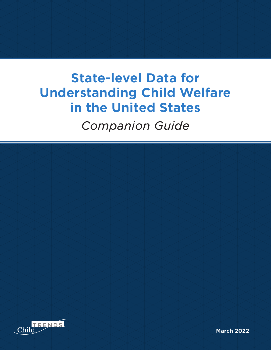# **State-level Data for Understanding Child Welfare in the United States**

*Companion Guide*



**March 2022**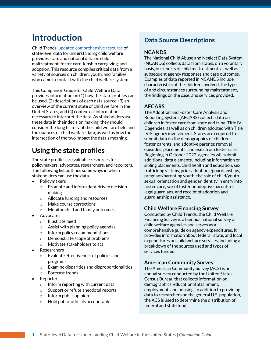# **Introduction**

Child Trends' updated [comprehensive](https://nam04.safelinks.protection.outlook.com/?url=https%3A%2F%2Fwww.childtrends.org%2Fpublications%2Fstate-level-data-for-understanding-child-welfare-in-the-united-states-2020&data=02%7C01%7C%7C442d4e4d98f94f2a166208d85fff1401%7C380c6d8fdce34747b5fda656050bfd7f%7C1%7C0%7C637364896439256852&sdata=DNsBYgxGemrZ38yUCxb%2FrTwDS%2FN7q7b4Liig90jFVFM%3D&reserved=0) resource of state-level data for understanding child welfare provides state and national data on child maltreatment, foster care, kinship caregiving, and adoption. This resource compiles critical data from a variety of sources on children, youth, and families who came in contact with the child welfare system.

This Companion Guide for Child Welfare Data provides information on (1) how the state profiles can be used, (2) descriptions of each data source, (3) an overview of the current state of child welfare in the United States, and (4) contextual information necessary to interpret the data. As stakeholders use these data in their decision making, they should consider the long history of the child welfare field and the nuances of child welfare data, as well as how the intersection of the two impact the data's meaning.

# **Using the state profiles**

The state profiles are valuable resources for policymakers, advocates, researchers, and reporters. The following list outlines some ways in which stakeholders can use the data.

- Policymakers
	- o Promote and inform data-driven decision making
	- o Allocate funding and resources
	- o Make course corrections
	- o Monitor child and family outcomes
- **Advocates** 
	- o Illustrate need
	- o Assist with planning policy agendas
	- o Inform policy recommendations
	- o Demonstrate scope of problems
	- o Motivate stakeholders to act
- **Researchers** 
	- o Evaluate effectiveness of policies and programs
	- o Examine disparities and disproportionalities
	- o Forecast trends
- **Reporters** 
	- o Inform reporting with current data
	- o Support or refute anecdotal reports
	- o Inform public opinion
	- o Hold public officials accountable

### Data Source Descriptions

#### **NCANDS**

The National Child Abuse and Neglect Data System (NCANDS) collects data from states, on a voluntary basis, on reports of child maltreatment, as well as subsequent agency responses and case outcomes. Examples of data reported in NCANDS include characteristics of the children involved, the types of and circumstances surrounding maltreatment, the findings on the case, and services provided.

### **AFCARS**

The Adoption and Foster Care Analysis and Reporting System (AFCARS) collects data on children in foster care from state and tribal Title IV-E agencies, as well as on children adopted with Title IV-E agency involvement. States are required to submit data on the demographics of children, foster parents, and adoptive parents; removal episodes; placements; and exits from foster care. Beginning in October 2022, agencies will submit additional data elements, including information on sibling placements, child health and education, sex trafficking victims, prior adoptions/guardianships, pregnant/parenting youth, the role of child/youth sexual orientation and gender identity in entry into foster care, sex of foster or adoptive parents or legal guardians, and receipt of adoption and guardianship assistance.

### **Child Welfare Financing Survey**

Conducted by Child Trends, the Child Welfare Financing Survey is a biennial national survey of child welfare agencies and serves as a comprehensive guide on agency expenditures. It provides information about federal, state, and local expenditures on child welfare services, including a breakdown of the sources used and types of services funded.

#### **American Community Survey**

The American Community Survey (ACS) is an annual survey conducted by the United States Census Bureau that collects information on demographics, educational attainment, employment, and housing. In addition to providing data to researchers on the general U.S. population, the ACS is used to determine the distribution of federal and state funds.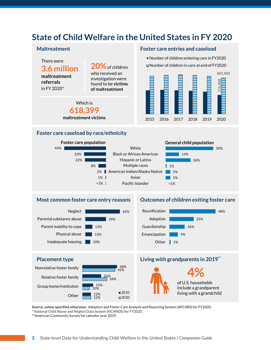# **State of Child Welfare in the United States in FY 2020**



Nonrelative foster famil Relative foster famil Group home/institution

| рe      |                                 |
|---------|---------------------------------|
| family  | 48%<br><i>unnumma</i><br>$-45%$ |
| family  | <b>26% 26% 34%</b>              |
| itution | 15%<br>$\frac{15}{100}$         |
| Other   | $\blacksquare$ 2010<br>12%      |
|         | 12%<br>■2020                    |

#### **Placement type Living with grandparents in 2019\*\***

**4%**  of U.S. households include a grandparent living with a grandchild

**Source, unless specified otherwise:** Adoption and Foster Care Analysis and Reporting System (AFCARS) for FY2020. \* National Child Abuse and Neglect Data System (NCANDS) for FY2020.

\*\*American Community Survey for calendar year 2019.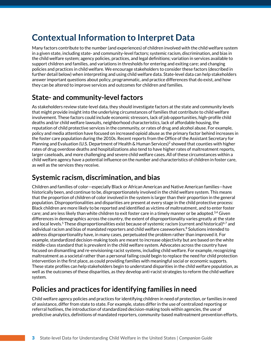# **Contextual Information to Interpret Data**

Many factors contribute to the number (and experiences) of children involved with the child welfare system in a given state, including state- and community-level factors; systemic racism, discrimination, and bias in the child welfare system; agency policies, practices, and legal definitions; variation in services available to support children and families, and variations in thresholds for entering and exiting care; and changing policies and practices in child welfare. We encourage stakeholders to consider these factors (described in further detail below) when interpreting and using child welfare data. State-level data can help stakeholders answer important questions about policy, programmatic, and practice differences that do exist, and how they can be altered to improve services and outcomes for children and families.

# **State- and community-level factors**

As stakeholders review state-level data, they should investigate factors at the state and community levels that might provide insight into the underlying circumstances of families that contribute to child welfare involvement. These factors could include economic stressors, lack of job opportunities, high-profile child deaths and/or child welfare lawsuits, neighborhood characteristics, lack of affordable housing, the reputation of child protective services in the community, or rates of drug and alcohol abuse. For example, policy and media attention have focused on increased opioid abuse as the primary factor behind increases in the foster care population during the 2010s. Recent reports from the Office of the Assistant Secretary for Planning and Evaluation (U.S. Department of Health & Human Services)<sup>2</sup> showed that counties with higher rates of drug overdose deaths and hospitalizations also tend to have higher rates of maltreatment reports, larger caseloads, and more challenging and severe child welfare cases. All of these circumstances within a child welfare agency have a potential influence on the number and characteristics of children in foster care, as well as the services they receive.

### **Systemic racism, discrimination, and bias**

Children and families of color—especially Black or African American and Native American families—have historically been, and continue to be, disproportionately involved in the child welfare system. This means that the proportion of children of color involved in the system is larger than their proportion in the general population. Disproportionalities and disparities are present at every stage in the child protective process: Black children are more likely to be reported and identified as victims of maltreatment, and to enter foster care; and are less likely than white children to exit foster care in a timely manner or be adopted.<sup>3,4</sup> Given differences in demographics across the country, the extent of disproportionality varies greatly at the state and local levels.<sup>5</sup> These disproportionalities exist because of systemic racism (current and historical)<sup>6,7</sup> and individual racism and bias of mandated reporters and child welfare caseworkers.<sup>8</sup> Solutions intended to address disproportionality have, in many cases, perpetuated the problem rather than improved it. For example, standardized decision-making tools are meant to increase objectivity but are based on the white middle-class standard that is prevalent in the child welfare system. Advocates across the country have focused on dismantling and re-envisioning racist systems, including child welfare. For example, recognizing maltreatment as a societal rather than a personal failing could begin to replace the need for child protection intervention in the first place, as could providing families with meaningful social or economic supports. These state profiles can help stakeholders begin to understand disparities in the child welfare population, as well as the outcomes of these disparities, as they develop anti-racist strategies to reform the child welfare system.

### **Policies and practices for identifying families in need**

Child welfare agency policies and practices for identifying children in need of protection, or families in need of assistance, differ from state to state. For example, states differ in the use of centralized reporting or referral hotlines, the introduction of standardized decision-making tools within agencies, the use of predictive analytics, definitions of mandated reporters, community-based maltreatment prevention efforts,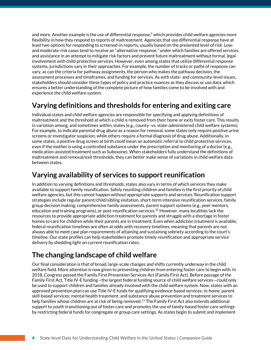and more. Another example is the use of differential response, $9$  which provides child welfare agencies more flexibility in how they respond to reports of maltreatment. Agencies that use differential response have at least two options for responding to screened-in reports, usually based on the presented level of risk. Lowand moderate-risk cases tend to receive an "alternative response," under which families are offered services and assistance in an attempt to mitigate risk factors and prevent future maltreatment without formal, legal involvement with child protective services. However, even among states that utilize differential response systems, jurisdictions vary in their approaches. For example, the number of tracks or paths of response can vary, as can the criteria for pathway assignments, the person who makes the pathway decision, the assessment processes and timeframes, and funding for services. As with state- and community-level issues, stakeholders should consider these types of policy and practice nuances as they discuss or use data, which ensures a better understanding of the complete picture of how families come to be involved with and experience the child welfare system.

# **Varying definitions and thresholds for entering and exiting care**

Individual states and child welfare agencies are responsible for specifying and applying definitions of maltreatment and the threshold at which a child is removed from their home or exits foster care. This results in variation among, and sometimes within, states (e.g., county- vs. state-administered child welfare systems). For example, to indicate parental drug abuse as a reason for removal, some states only require positive urine screens or investigator suspicion, while others require a formal diagnosis of drug abuse. Additionally, in some states, a positive drug screen at birth could mean an automatic referral to child protective services, even if the mother is using a controlled substance under the prescription and monitoring of a doctor (e.g., medication-assisted treatment such as Suboxone). When stakeholders fully understand the definitions of maltreatment and removal/exit thresholds, they can better make sense of variations in child welfare data between states.

### **Varying availability of services to support reunification**

In addition to varying definitions and thresholds, states also vary in terms of which services they make available to support family reunification. Safely reuniting children and families is the first priority of child welfare agencies, but this cannot happen without appropriate supports and services. Reunification support strategies include regular parent/child/sibling visitation, short-term intensive reunification services, family group decision making, comprehensive family assessments, parent support systems (e.g., peer mentors, education and training programs), or post-reunification services.<sup>10</sup> However, many localities lack the resources to provide appropriate addiction treatment for parents and struggle with a shortage in foster homes to care for children while their parents are in treatment. Even when addiction treatment is available, federal reunification timelines are often at odds with recovery timelines, meaning that parents are not always able to meet case plan requirements of attaining and sustaining sobriety according to the court's timeline. Our state profiles can help stakeholders promote timely reunification and appropriate service delivery by shedding light on current reunification rates.

# **The changing landscape of child welfare**

Our final consideration is that of broad, large-scale changes and shifts currently underway in the child welfare field. More attention is now given to preventing children from entering foster care to begin with. In 2018, Congress passed the Family First Prevention Services Act (Family First Act). Before passage of the Family First Act, Title IV-E funding—the largest federal funding source of child welfare services—could only be used to support children and families already involved with the child welfare system. Now, states with an approved prevention plan can use Title IV-E funds for qualifying evidence-based services: in-home, parent skill-based services; mental health treatment; and substance abuse prevention and treatment services to help families whose children are at risk of being removed. <sup>11</sup> The Family First Act also extends additional support to youth transitioning out of foster care and promotes the use of family-based foster care settings by restricting federal funds for congregate or group care settings. As states begin to submit and implement